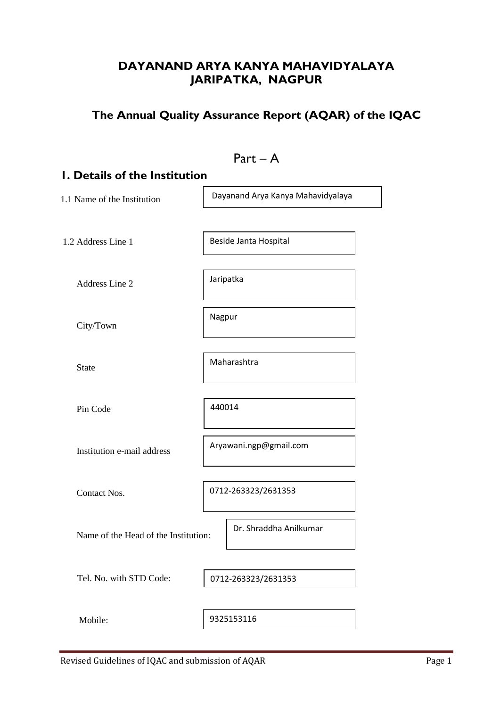## **DAYANAND ARYA KANYA MAHAVIDYALAYA JARIPATKA, NAGPUR**

# **The Annual Quality Assurance Report (AQAR) of the IQAC**

| $Part - A$                           |                                   |  |  |
|--------------------------------------|-----------------------------------|--|--|
| <b>I. Details of the Institution</b> |                                   |  |  |
| 1.1 Name of the Institution          | Dayanand Arya Kanya Mahavidyalaya |  |  |
|                                      |                                   |  |  |
| 1.2 Address Line 1                   | Beside Janta Hospital             |  |  |
| Address Line 2                       | Jaripatka                         |  |  |
| City/Town                            | Nagpur                            |  |  |
| <b>State</b>                         | Maharashtra                       |  |  |
| Pin Code                             | 440014                            |  |  |
| Institution e-mail address           | Aryawani.ngp@gmail.com            |  |  |
| Contact Nos.                         | 0712-263323/2631353               |  |  |
| Name of the Head of the Institution: | Dr. Shraddha Anilkumar            |  |  |
| Tel. No. with STD Code:              | 0712-263323/2631353               |  |  |
| Mobile:                              | 9325153116                        |  |  |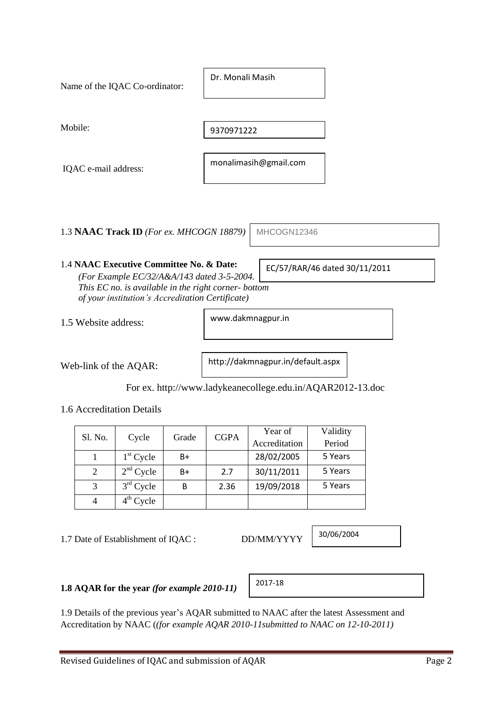| Mobile:                                             |                                   |
|-----------------------------------------------------|-----------------------------------|
|                                                     | 9370971222                        |
|                                                     | monalimasih@gmail.com             |
| IQAC e-mail address:                                |                                   |
|                                                     |                                   |
|                                                     |                                   |
|                                                     |                                   |
|                                                     |                                   |
| 1.3 NAAC Track ID (For ex. MHCOGN 18879)            | MHCOGN12346                       |
|                                                     |                                   |
| 1.4 NAAC Executive Committee No. & Date:            | EC/57/RAR/46 dated 30/11/2011     |
| (For Example EC/32/A&A/143 dated 3-5-2004.)         |                                   |
| This EC no. is available in the right corner-bottom |                                   |
| of your institution's Accreditation Certificate)    |                                   |
| 1.5 Website address:                                | www.dakmnagpur.in                 |
|                                                     |                                   |
|                                                     |                                   |
|                                                     | http://dakmnagnur.in/default.acny |

Dr. Monali Masih

Web-link of the AQAR:

Name of the IQAC Co-ordinator:

http://dakmnagpur.in/default.aspx

For ex. http://www.ladykeanecollege.edu.in/AQAR2012-13.doc

1.6 Accreditation Details

| Sl. No. |             | Grade | <b>CGPA</b> | Year of       | Validity |
|---------|-------------|-------|-------------|---------------|----------|
|         | Cycle       |       |             | Accreditation | Period   |
|         | $1st$ Cycle | B+    |             | 28/02/2005    | 5 Years  |
| 2       | $2nd$ Cycle | $B+$  | 2.7         | 30/11/2011    | 5 Years  |
| 3       | $3rd$ Cycle | В     | 2.36        | 19/09/2018    | 5 Years  |
|         | $4th$ Cycle |       |             |               |          |

1.7 Date of Establishment of IQAC : DD/MM/YYYY

30/06/2004

**1.8 AQAR for the year** *(for example 2010-11)*

|--|

1.9 Details of the previous year's AQAR submitted to NAAC after the latest Assessment and Accreditation by NAAC (*(for example AQAR 2010-11submitted to NAAC on 12-10-2011)*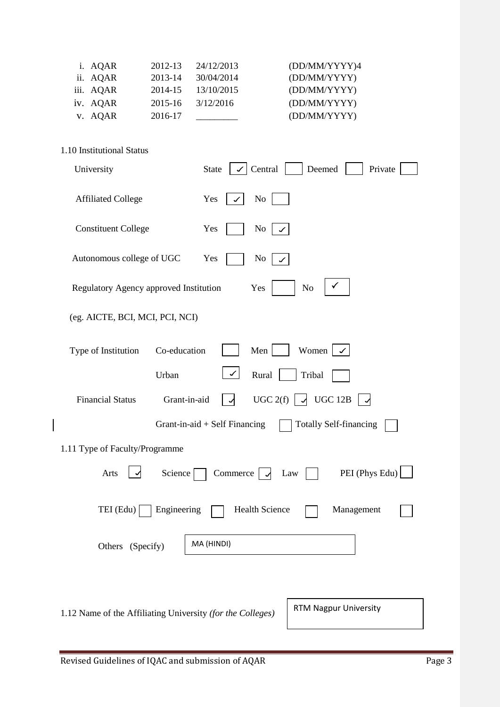| i. AQAR   | 2012-13     | 24/12/2013 | (DD/MM/YYYY)4 |
|-----------|-------------|------------|---------------|
| ii. AQAR  | 2013-14     | 30/04/2014 | (DD/MM/YYYY)  |
| iii. AQAR | 2014-15     | 13/10/2015 | (DD/MM/YYYY)  |
| iv. AQAR  | $2015 - 16$ | 3/12/2016  | (DD/MM/YYYY)  |
| v. AQAR   | 2016-17     |            | (DD/MM/YYYY)  |

| 1.10 Institutional Status                                                                    |                |
|----------------------------------------------------------------------------------------------|----------------|
| Central<br>Deemed<br>State<br>University<br>$\checkmark$                                     | Private        |
| No<br><b>Affiliated College</b><br>Yes                                                       |                |
| <b>Constituent College</b><br>Yes<br>No                                                      |                |
| Autonomous college of UGC<br>Yes<br>N <sub>o</sub>                                           |                |
| Regulatory Agency approved Institution<br>Yes<br>No                                          |                |
| (eg. AICTE, BCI, MCI, PCI, NCI)                                                              |                |
| Women  <br>Co-education<br>Men<br>Type of Institution                                        |                |
| $\checkmark$<br>Urban<br>Rural<br>Tribal                                                     |                |
| $\vert \sqrt{\text{UGC } 12\text{B}}$<br>UGC 2(f)<br><b>Financial Status</b><br>Grant-in-aid |                |
| Grant-in-aid $+$ Self Financing<br><b>Totally Self-financing</b>                             |                |
| 1.11 Type of Faculty/Programme                                                               |                |
| Arts<br>Science<br>Commerce $\vert \downarrow$<br>Law                                        | PEI (Phys Edu) |
| <b>Health Science</b><br>TEI (Edu)<br>Engineering                                            | Management     |
| MA (HINDI)<br>Others (Specify)                                                               |                |
|                                                                                              |                |

1.12 Name of the Affiliating University *(for the Colleges)*

 $\overline{\phantom{a}}$ 

RTM Nagpur University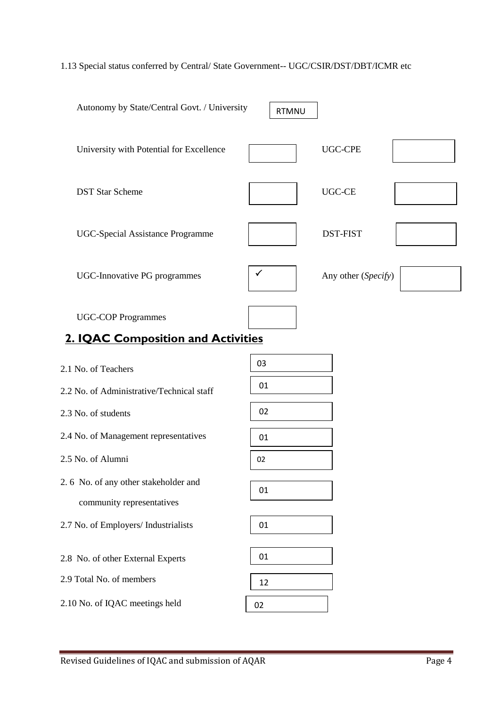## 1.13 Special status conferred by Central/ State Government-- UGC/CSIR/DST/DBT/ICMR etc

| Autonomy by State/Central Govt. / University                      | <b>RTMNU</b> |                     |
|-------------------------------------------------------------------|--------------|---------------------|
| University with Potential for Excellence                          |              | <b>UGC-CPE</b>      |
| <b>DST Star Scheme</b>                                            |              | <b>UGC-CE</b>       |
| UGC-Special Assistance Programme                                  |              | <b>DST-FIST</b>     |
| UGC-Innovative PG programmes                                      | ✓            | Any other (Specify) |
| <b>UGC-COP Programmes</b>                                         |              |                     |
| <b>2. IQAC Composition and Activities</b>                         |              |                     |
| 2.1 No. of Teachers                                               | 03           |                     |
| 2.2 No. of Administrative/Technical staff                         | 01           |                     |
| 2.3 No. of students                                               | 02           |                     |
| 2.4 No. of Management representatives                             | 01           |                     |
| 2.5 No. of Alumni                                                 | 02           |                     |
| 2.6 No. of any other stakeholder and<br>community representatives | 01           |                     |
| 2.7 No. of Employers/ Industrialists                              | 01           |                     |
| 2.8 No. of other External Experts                                 | 01           |                     |
| 2.9 Total No. of members                                          | 12           |                     |
| 2.10 No. of IQAC meetings held                                    | 02           |                     |

Revised Guidelines of IQAC and submission of AQAR Page 4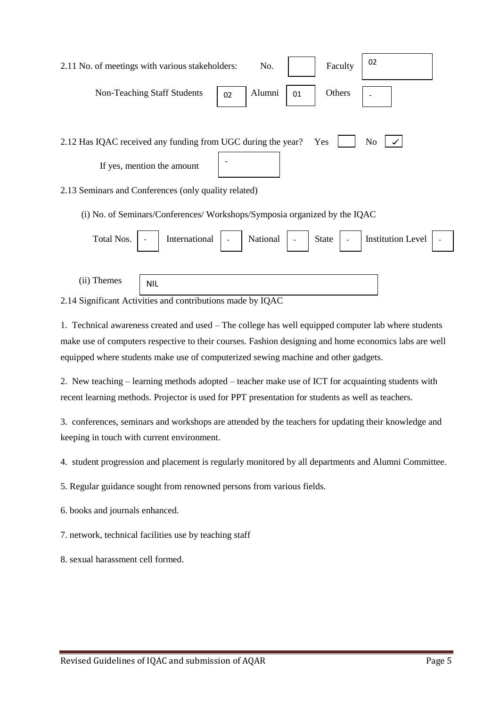| 02<br>Faculty<br>2.11 No. of meetings with various stakeholders:<br>No.               |
|---------------------------------------------------------------------------------------|
| Alumni<br>Non-Teaching Staff Students<br>Others<br>01<br>02                           |
|                                                                                       |
| 2.12 Has IQAC received any funding from UGC during the year?<br>N <sub>o</sub><br>Yes |
| If yes, mention the amount                                                            |
| 2.13 Seminars and Conferences (only quality related)                                  |
| (i) No. of Seminars/Conferences/ Workshops/Symposia organized by the IQAC             |
| International<br>National<br>Total Nos.<br><b>Institution Level</b><br><b>State</b>   |

(ii) Themes

NIL

2.14 Significant Activities and contributions made by IQAC

1. Technical awareness created and used – The college has well equipped computer lab where students make use of computers respective to their courses. Fashion designing and home economics labs are well equipped where students make use of computerized sewing machine and other gadgets.

2. New teaching – learning methods adopted – teacher make use of ICT for acquainting students with recent learning methods. Projector is used for PPT presentation for students as well as teachers.

3. conferences, seminars and workshops are attended by the teachers for updating their knowledge and keeping in touch with current environment.

4. student progression and placement is regularly monitored by all departments and Alumni Committee.

5. Regular guidance sought from renowned persons from various fields.

6. books and journals enhanced.

7. network, technical facilities use by teaching staff

8. sexual harassment cell formed.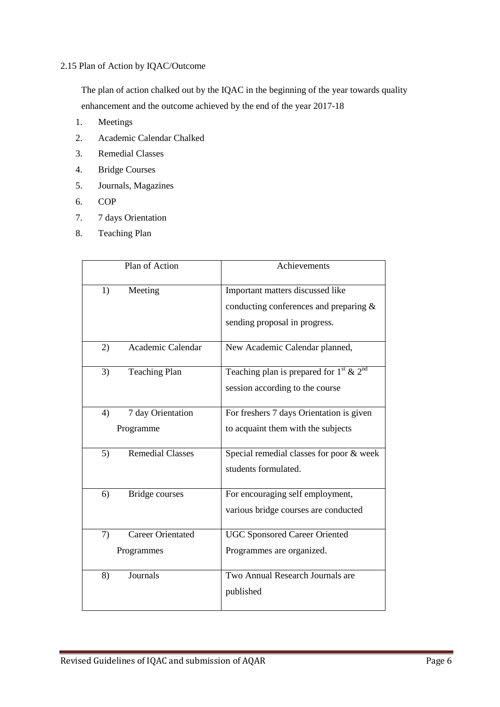## 2.15 Plan of Action by IQAC/Outcome

 The plan of action chalked out by the IQAC in the beginning of the year towards quality enhancement and the outcome achieved by the end of the year 2017-18

- 1. Meetings
- 2. Academic Calendar Chalked
- 3. Remedial Classes
- 4. Bridge Courses
- 5. Journals, Magazines
- 6. COP
- 7. 7 days Orientation
- 8. Teaching Plan

| Plan of Action                | Achievements                                                   |
|-------------------------------|----------------------------------------------------------------|
| Meeting<br>1)                 | Important matters discussed like                               |
|                               | conducting conferences and preparing &                         |
|                               | sending proposal in progress.                                  |
| Academic Calendar<br>2)       | New Academic Calendar planned,                                 |
| <b>Teaching Plan</b><br>3)    | Teaching plan is prepared for $1^{\text{st}} \& 2^{\text{nd}}$ |
|                               | session according to the course                                |
| 7 day Orientation<br>4)       | For freshers 7 days Orientation is given                       |
| Programme                     | to acquaint them with the subjects                             |
| <b>Remedial Classes</b><br>5) | Special remedial classes for poor & week                       |
|                               | students formulated.                                           |
| <b>Bridge courses</b><br>6)   | For encouraging self employment,                               |
|                               | various bridge courses are conducted                           |
| Career Orientated<br>7)       | <b>UGC Sponsored Career Oriented</b>                           |
| Programmes                    | Programmes are organized.                                      |
| Journals<br>8)                | Two Annual Research Journals are                               |
|                               | published                                                      |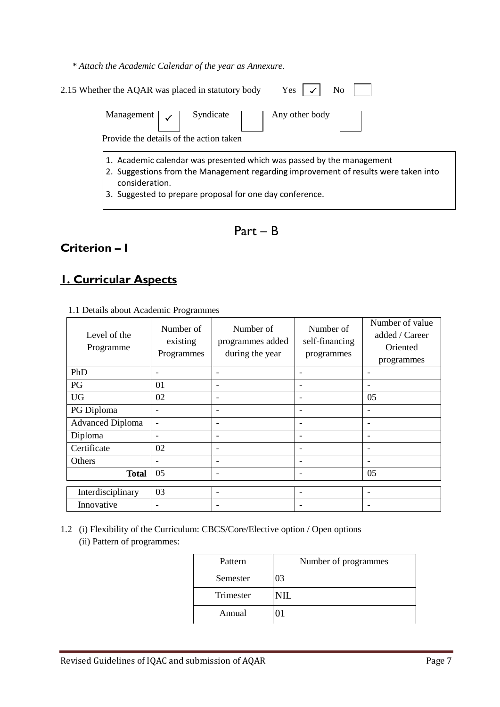*\* Attach the Academic Calendar of the year as Annexure.*

| N <sub>0</sub><br>2.15 Whether the AQAR was placed in statutory body<br>Yes                                                                                                                                                                |  |
|--------------------------------------------------------------------------------------------------------------------------------------------------------------------------------------------------------------------------------------------|--|
| Syndicate<br>Management [<br>Any other body<br>Provide the details of the action taken                                                                                                                                                     |  |
| 1. Academic calendar was presented which was passed by the management<br>2. Suggestions from the Management regarding improvement of results were taken into<br>consideration.<br>3. Suggested to prepare proposal for one day conference. |  |

Part – B

# **Criterion – I**

## **1. Curricular Aspects**

| Level of the<br>Programme | Number of<br>existing<br>Programmes | Number of<br>programmes added<br>during the year | Number of<br>self-financing<br>programmes | Number of value<br>added / Career<br>Oriented<br>programmes |
|---------------------------|-------------------------------------|--------------------------------------------------|-------------------------------------------|-------------------------------------------------------------|
| PhD                       |                                     |                                                  |                                           |                                                             |
| PG                        | 01                                  | $\overline{\phantom{a}}$                         |                                           | -                                                           |
| <b>UG</b>                 | 02                                  | ٠                                                |                                           | 05                                                          |
| PG Diploma                |                                     | ۰                                                |                                           |                                                             |
| <b>Advanced Diploma</b>   | $\overline{\phantom{0}}$            | -                                                | ۰                                         | -                                                           |
| Diploma                   |                                     | $\overline{\phantom{a}}$                         |                                           | -                                                           |
| Certificate               | 02                                  | $\overline{\phantom{a}}$                         | $\qquad \qquad$                           | $\overline{\phantom{a}}$                                    |
| Others                    |                                     | -                                                | ۰                                         | -                                                           |
| <b>Total</b>              | 05                                  | $\overline{\phantom{a}}$                         | ٠                                         | 05                                                          |
| Interdisciplinary         | 03                                  | $\overline{\phantom{a}}$                         | $\qquad \qquad$                           | $\overline{\phantom{a}}$                                    |
| Innovative                | -                                   | -                                                |                                           | -                                                           |

1.1 Details about Academic Programmes

1.2 (i) Flexibility of the Curriculum: CBCS/Core/Elective option / Open options (ii) Pattern of programmes:

| Pattern   | Number of programmes |
|-----------|----------------------|
| Semester  | 03                   |
| Trimester | NIL.                 |
| Annual    |                      |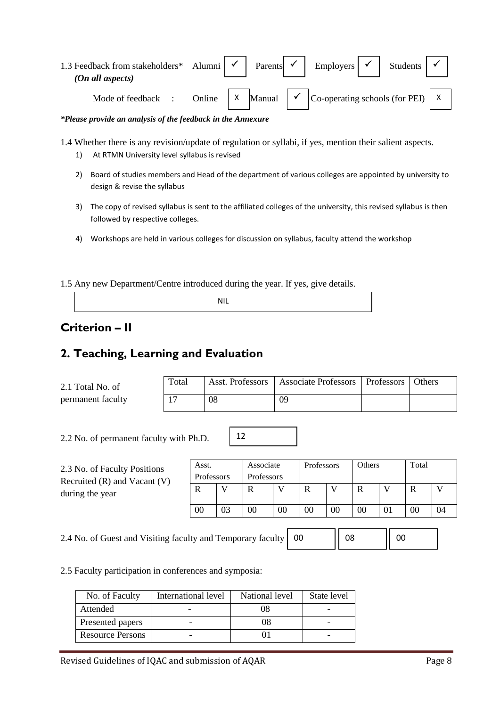| 1.3 Feedback from stakeholders* Alumni $\vert \checkmark \vert$ Parents $\vert \checkmark \vert$ Employers $\vert \checkmark \vert$<br>(On all aspects) |  |  |                                                                                                                                              | Students |  |
|---------------------------------------------------------------------------------------------------------------------------------------------------------|--|--|----------------------------------------------------------------------------------------------------------------------------------------------|----------|--|
| Mode of feedback :                                                                                                                                      |  |  | Online $\begin{vmatrix} x & \text{Manual} \\ \end{vmatrix}$ $\checkmark$ Co-operating schools (for PEI) $\begin{vmatrix} x \\ \end{vmatrix}$ |          |  |

*\*Please provide an analysis of the feedback in the Annexure*

1.4 Whether there is any revision/update of regulation or syllabi, if yes, mention their salient aspects.

- 1) At RTMN University level syllabus is revised
- 2) Board of studies members and Head of the department of various colleges are appointed by university to design & revise the syllabus
- 3) The copy of revised syllabus is sent to the affiliated colleges of the university, this revised syllabus is then followed by respective colleges.
- 4) Workshops are held in various colleges for discussion on syllabus, faculty attend the workshop

1.5 Any new Department/Centre introduced during the year. If yes, give details.

# **Criterion – II**

## **2. Teaching, Learning and Evaluation**

| 2.1 Total No. of  | Total |    | Asst. Professors   Associate Professors   Professors | <b>Others</b> |
|-------------------|-------|----|------------------------------------------------------|---------------|
| permanent faculty | $1 -$ | 08 | 09                                                   |               |

12

2.2 No. of permanent faculty with Ph.D.

| 2.3 No. of Faculty Positions<br>Recruited $(R)$ and Vacant $(V)$ | Asst.<br>Professors |    | Associate<br>Professors |    | Professors |                | <b>Others</b> |    | Total |    |
|------------------------------------------------------------------|---------------------|----|-------------------------|----|------------|----------------|---------------|----|-------|----|
| during the year                                                  | R                   |    | R                       |    | R          |                | R             |    |       |    |
|                                                                  | 00                  | 03 | 00                      | 00 | 00         | 0 <sub>0</sub> | 00            | 01 | 00    | 04 |

2.4 No. of Guest and Visiting faculty and Temporary faculty 00

08 | 00

2.5 Faculty participation in conferences and symposia:

| No. of Faculty          | International level | National level | State level |
|-------------------------|---------------------|----------------|-------------|
| Attended                |                     | 08             |             |
| Presented papers        |                     | 08             |             |
| <b>Resource Persons</b> |                     |                |             |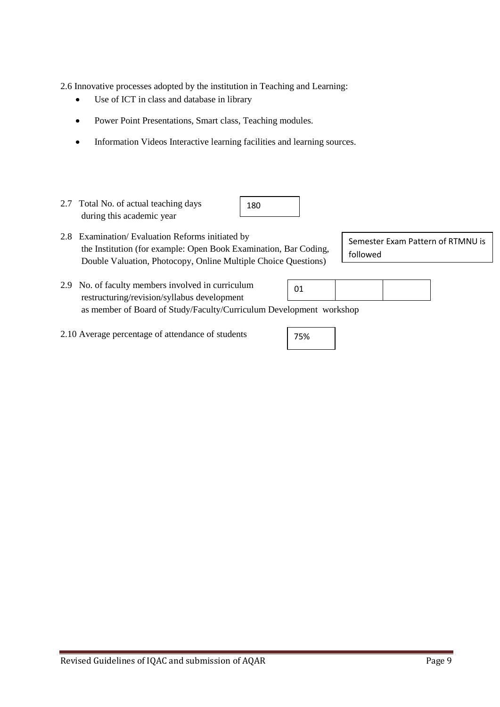2.6 Innovative processes adopted by the institution in Teaching and Learning:

- Use of ICT in class and database in library  $\bullet$
- Power Point Presentations, Smart class, Teaching modules.  $\bullet$
- $\bullet$ Information Videos Interactive learning facilities and learning sources.

| 2.7 Total No. of actual teaching days<br>during this academic year                                                                                                                    | 180 |    |  |                                   |
|---------------------------------------------------------------------------------------------------------------------------------------------------------------------------------------|-----|----|--|-----------------------------------|
| 2.8 Examination/Evaluation Reforms initiated by<br>the Institution (for example: Open Book Examination, Bar Coding,<br>Double Valuation, Photocopy, Online Multiple Choice Questions) |     |    |  | Semester Exam Pattern of RTMNU is |
| 2.9 No. of faculty members involved in curriculum                                                                                                                                     |     | ሰ1 |  |                                   |

- restructuring/revision/syllabus development as member of Board of Study/Faculty/Curriculum Development workshop 01
- 2.10 Average percentage of attendance of students

75%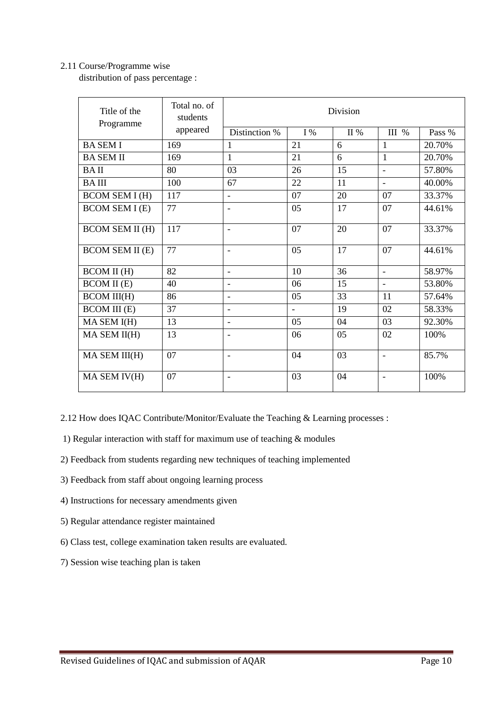### 2.11 Course/Programme wise

distribution of pass percentage :

| Title of the<br>Programme | Total no. of<br>students | Division                 |                |      |                          |        |  |
|---------------------------|--------------------------|--------------------------|----------------|------|--------------------------|--------|--|
|                           | appeared                 | Distinction %            | I%             | II % | III %                    | Pass % |  |
| <b>BASEMI</b>             | 169                      | 1                        | 21             | 6    | 1                        | 20.70% |  |
| <b>BA SEM II</b>          | 169                      | 1                        | 21             | 6    | 1                        | 20.70% |  |
| <b>BAII</b>               | 80                       | 03                       | 26             | 15   | $\blacksquare$           | 57.80% |  |
| <b>BAIII</b>              | 100                      | 67                       | 22             | 11   | $\blacksquare$           | 40.00% |  |
| <b>BCOM SEM I (H)</b>     | 117                      | ÷,                       | 07             | 20   | 07                       | 33.37% |  |
| <b>BCOM SEM I (E)</b>     | 77                       | $\overline{\phantom{0}}$ | 05             | 17   | 07                       | 44.61% |  |
| <b>BCOM SEM II (H)</b>    | 117                      | $\overline{\phantom{0}}$ | 07             | 20   | 07                       | 33.37% |  |
| <b>BCOM SEM II (E)</b>    | 77                       | Ĭ.                       | 05             | 17   | 07                       | 44.61% |  |
| <b>BCOM II (H)</b>        | 82                       | $\overline{\phantom{0}}$ | 10             | 36   | $\blacksquare$           | 58.97% |  |
| <b>BCOM II</b> (E)        | 40                       | $\overline{a}$           | 06             | 15   | $\blacksquare$           | 53.80% |  |
| <b>BCOM III(H)</b>        | 86                       |                          | 05             | 33   | 11                       | 57.64% |  |
| <b>BCOM III</b> (E)       | 37                       | $\overline{\phantom{0}}$ | $\overline{a}$ | 19   | 02                       | 58.33% |  |
| MA SEM I(H)               | 13                       | $\overline{\phantom{a}}$ | 05             | 04   | 03                       | 92.30% |  |
| MA SEM II(H)              | 13                       | $\overline{\phantom{0}}$ | 06             | 05   | 02                       | 100%   |  |
| MA SEM III(H)             | 07                       | Ĭ.                       | 04             | 03   | $\overline{\phantom{a}}$ | 85.7%  |  |
| MA SEM IV(H)              | 07                       | ۰                        | 03             | 04   |                          | 100%   |  |

2.12 How does IQAC Contribute/Monitor/Evaluate the Teaching & Learning processes :

1) Regular interaction with staff for maximum use of teaching & modules

- 2) Feedback from students regarding new techniques of teaching implemented
- 3) Feedback from staff about ongoing learning process
- 4) Instructions for necessary amendments given
- 5) Regular attendance register maintained
- 6) Class test, college examination taken results are evaluated.
- 7) Session wise teaching plan is taken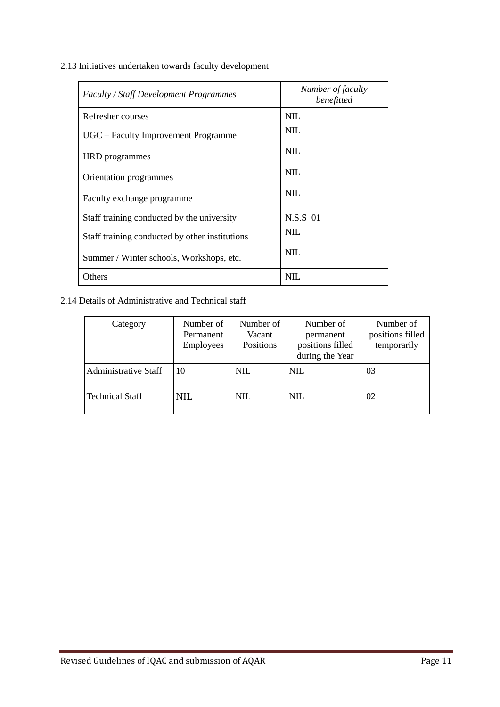2.13 Initiatives undertaken towards faculty development

| <b>Faculty / Staff Development Programmes</b>  | Number of faculty<br>benefitted |
|------------------------------------------------|---------------------------------|
| Refresher courses                              | NIL.                            |
| UGC – Faculty Improvement Programme            | NIL.                            |
| HRD programmes                                 | <b>NIL</b>                      |
| Orientation programmes                         | NII.                            |
| Faculty exchange programme                     | <b>NIL</b>                      |
| Staff training conducted by the university     | N.S.S 01                        |
| Staff training conducted by other institutions | NIL.                            |
| Summer / Winter schools, Workshops, etc.       | NII.                            |
| Others                                         | NIL.                            |

## 2.14 Details of Administrative and Technical staff

| Category                    | Number of<br>Permanent<br><b>Employees</b> | Number of<br>Vacant<br>Positions | Number of<br>permanent<br>positions filled<br>during the Year | Number of<br>positions filled<br>temporarily |
|-----------------------------|--------------------------------------------|----------------------------------|---------------------------------------------------------------|----------------------------------------------|
| <b>Administrative Staff</b> | 10                                         | <b>NIL</b>                       | NIL                                                           | 03                                           |
| <b>Technical Staff</b>      | NIL.                                       | <b>NIL</b>                       | <b>NIL</b>                                                    | 02                                           |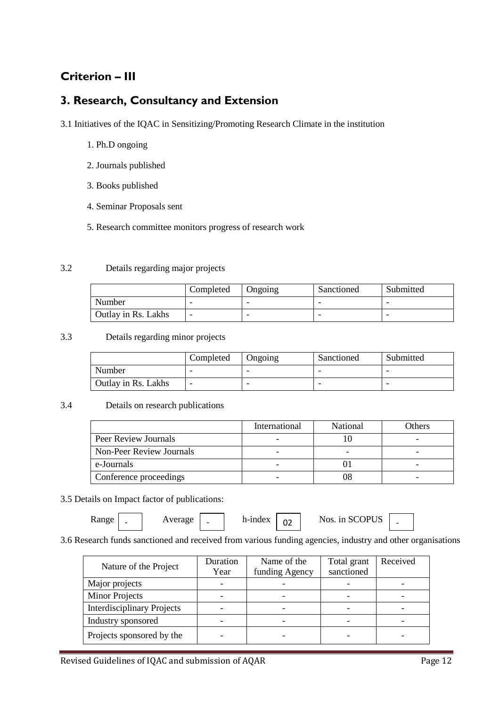# **Criterion – III**

## **3. Research, Consultancy and Extension**

- 3.1 Initiatives of the IQAC in Sensitizing/Promoting Research Climate in the institution
	- 1. Ph.D ongoing
	- 2. Journals published
	- 3. Books published
	- 4. Seminar Proposals sent
	- 5. Research committee monitors progress of research work

### 3.2 Details regarding major projects

|                     | Completed | Ongoing                  | Sanctioned | Submitted |
|---------------------|-----------|--------------------------|------------|-----------|
| Number              |           |                          |            |           |
| Outlay in Rs. Lakhs | -         | $\overline{\phantom{0}}$ |            |           |

#### 3.3 Details regarding minor projects

|                            | Completed | Ongoing | Sanctioned | Submitted |
|----------------------------|-----------|---------|------------|-----------|
| Number                     |           | -       |            | -         |
| <b>Outlay in Rs. Lakhs</b> | -         | -       |            |           |

#### 3.4 Details on research publications

|                          | International | National | Others |
|--------------------------|---------------|----------|--------|
| Peer Review Journals     |               |          |        |
| Non-Peer Review Journals |               |          |        |
| e-Journals               |               |          |        |
| Conference proceedings   |               |          |        |

#### 3.5 Details on Impact factor of publications:

 $\text{Range}$  |  $\text{Average}$  |  $\text{h-index}$  | 02 | Nos. in SCOPUS |

3.6 Research funds sanctioned and received from various funding agencies, industry and other organisations

| Nature of the Project             | Duration<br>Year | Name of the<br>funding Agency | Total grant<br>sanctioned | Received |
|-----------------------------------|------------------|-------------------------------|---------------------------|----------|
| Major projects                    |                  |                               |                           |          |
| <b>Minor Projects</b>             |                  |                               |                           |          |
| <b>Interdisciplinary Projects</b> |                  |                               |                           |          |
| Industry sponsored                |                  |                               |                           |          |
| Projects sponsored by the         |                  |                               |                           |          |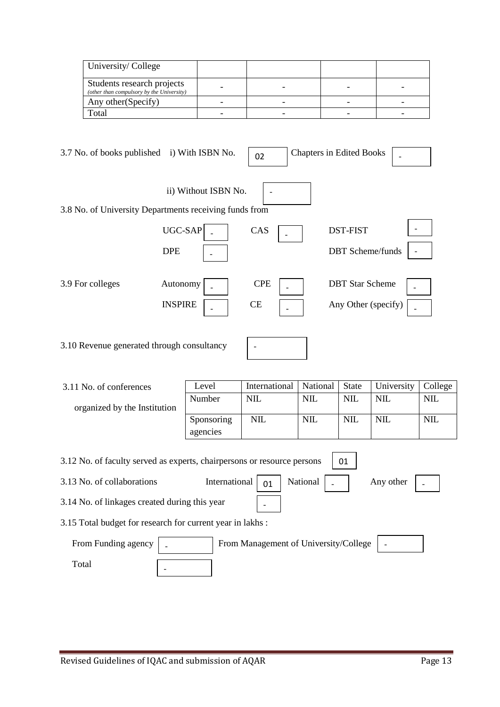| University/College                                                      |  |  |
|-------------------------------------------------------------------------|--|--|
| Students research projects<br>(other than compulsory by the University) |  |  |
| Any other (Specify)                                                     |  |  |
| Total                                                                   |  |  |

| 3.7 No. of books published i) With ISBN No.            |                            | 02               | <b>Chapters in Edited Books</b>               |
|--------------------------------------------------------|----------------------------|------------------|-----------------------------------------------|
| 3.8 No. of University Departments receiving funds from | ii) Without ISBN No.       |                  |                                               |
|                                                        | UGC-SAP<br><b>DPE</b>      | CAS              | <b>DST-FIST</b><br><b>DBT</b> Scheme/funds    |
| 3.9 For colleges                                       | Autonomy<br><b>INSPIRE</b> | <b>CPE</b><br>CE | <b>DBT</b> Star Scheme<br>Any Other (specify) |
| 3.10 Revenue generated through consultancy             |                            |                  |                                               |

| 3.11 No. of conferences                                                       | Level         | International | National   | <b>State</b> | University | College    |  |  |
|-------------------------------------------------------------------------------|---------------|---------------|------------|--------------|------------|------------|--|--|
| organized by the Institution                                                  | Number        | <b>NIL</b>    | <b>NIL</b> | <b>NIL</b>   | <b>NIL</b> | <b>NIL</b> |  |  |
|                                                                               | Sponsoring    | <b>NIL</b>    | <b>NIL</b> | <b>NIL</b>   | <b>NIL</b> | <b>NIL</b> |  |  |
|                                                                               | agencies      |               |            |              |            |            |  |  |
|                                                                               |               |               |            |              |            |            |  |  |
| 3.12 No. of faculty served as experts, chairpersons or resource persons<br>01 |               |               |            |              |            |            |  |  |
| 3.13 No. of collaborations                                                    | International | 01            | National   |              | Any other  |            |  |  |

-

3.15 Total budget for research for current year in lakhs :

3.14 No. of linkages created during this year

| From Funding agency | From Management of University/College | $\overline{\phantom{0}}$ |
|---------------------|---------------------------------------|--------------------------|
| $_{\rm \sigmaatal}$ |                                       |                          |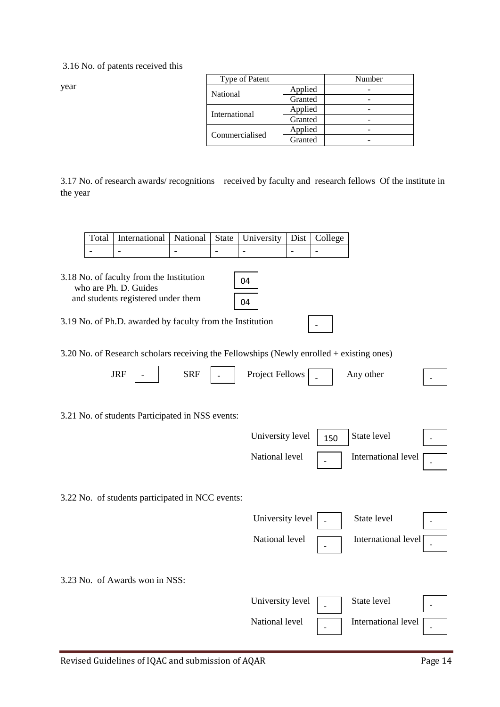3.16 No. of patents received this

year

| Type of Patent  |         | Number |
|-----------------|---------|--------|
| <b>National</b> | Applied |        |
|                 | Granted |        |
| International   | Applied |        |
|                 | Granted |        |
|                 | Applied |        |
| Commercialised  | Granted |        |

3.17 No. of research awards/ recognitions received by faculty and research fellows Of the institute in the year

| Total   International   National   State   University   Dist   College |  |  |  |
|------------------------------------------------------------------------|--|--|--|
|                                                                        |  |  |  |

| 3.18 No. of faculty from the Institution |
|------------------------------------------|
| who are Ph. D. Guides                    |
| and students registered under them       |

| 4 |  |
|---|--|
| 4 |  |

-

3.19 No. of Ph.D. awarded by faculty from the Institution

3.20 No. of Research scholars receiving the Fellowships (Newly enrolled + existing ones)

| <b>JRF</b>                     | <b>SRF</b>                                       | <b>Project Fellows</b> |     | Any other           |  |
|--------------------------------|--------------------------------------------------|------------------------|-----|---------------------|--|
|                                | 3.21 No. of students Participated in NSS events: |                        |     |                     |  |
|                                |                                                  | University level       | 150 | State level         |  |
|                                |                                                  | National level         |     | International level |  |
|                                | 3.22 No. of students participated in NCC events: |                        |     |                     |  |
|                                |                                                  | University level       |     | State level         |  |
|                                |                                                  | National level         |     | International level |  |
| 3.23 No. of Awards won in NSS: |                                                  |                        |     |                     |  |
|                                |                                                  | University level       |     | State level         |  |
|                                |                                                  | National level         |     | International level |  |

 $\left| \begin{array}{c} \text{mechanation} \\ \text{measured} \end{array} \right|$  -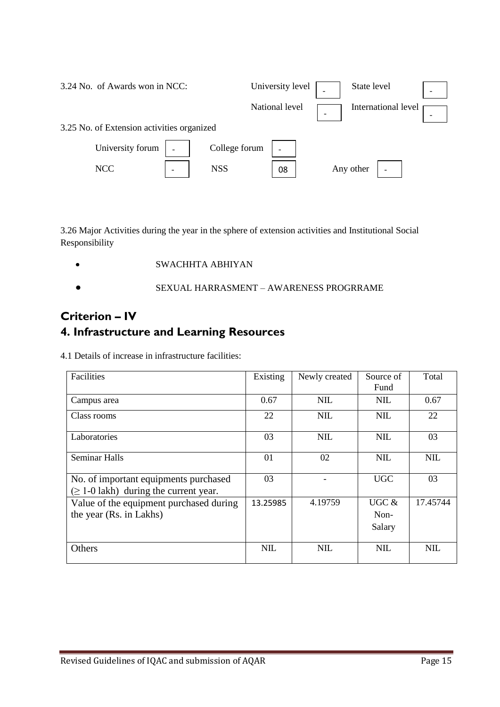| 3.24 No. of Awards won in NCC:             |               | University level | State level         | $\overline{\phantom{a}}$ |
|--------------------------------------------|---------------|------------------|---------------------|--------------------------|
|                                            |               | National level   | International level |                          |
| 3.25 No. of Extension activities organized |               |                  |                     |                          |
| University forum                           | College forum |                  |                     |                          |
| <b>NCC</b>                                 | <b>NSS</b>    | 08               | Any other           |                          |

3.26 Major Activities during the year in the sphere of extension activities and Institutional Social Responsibility

- $\bullet$ SWACHHTA ABHIYAN
- SEXUAL HARRASMENT AWARENESS PROGRRAME  $\bullet$

# **Criterion – IV 4. Infrastructure and Learning Resources**

4.1 Details of increase in infrastructure facilities:

| Facilities                                                                           | Existing   | Newly created | Source of  | Total      |
|--------------------------------------------------------------------------------------|------------|---------------|------------|------------|
|                                                                                      |            |               | Fund       |            |
| Campus area                                                                          | 0.67       | <b>NIL</b>    | <b>NIL</b> | 0.67       |
| Class rooms                                                                          | 22         | <b>NIL</b>    | <b>NIL</b> | 22         |
| Laboratories                                                                         | 03         | <b>NIL</b>    | <b>NIL</b> | 03         |
| <b>Seminar Halls</b>                                                                 | 01         | 02            | <b>NIL</b> | <b>NIL</b> |
| No. of important equipments purchased<br>$(\geq 1$ -0 lakh) during the current year. | 03         |               | <b>UGC</b> | 03         |
| Value of the equipment purchased during                                              | 13.25985   | 4.19759       | UGC $&$    | 17.45744   |
| the year (Rs. in Lakhs)                                                              |            |               | Non-       |            |
|                                                                                      |            |               | Salary     |            |
| Others                                                                               | <b>NIL</b> | <b>NIL</b>    | <b>NIL</b> | <b>NIL</b> |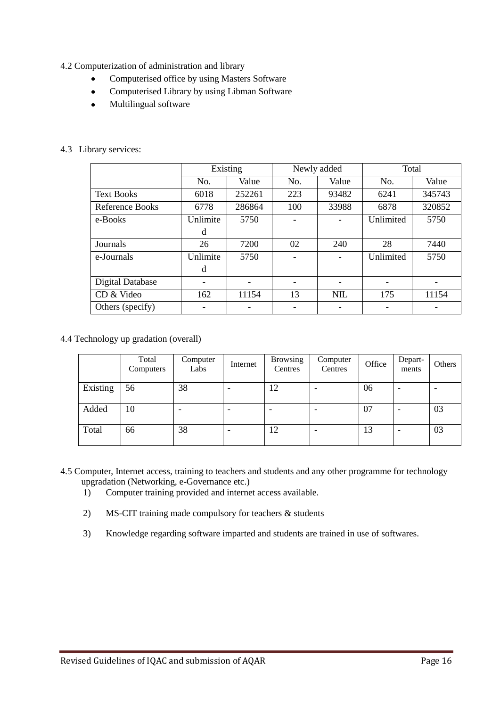- 4.2 Computerization of administration and library
	- $\bullet$ Computerised office by using Masters Software
	- Computerised Library by using Libman Software  $\bullet$
	- $\bullet$ Multilingual software

### 4.3 Library services:

|                         | Existing |        | Newly added |            | Total     |        |
|-------------------------|----------|--------|-------------|------------|-----------|--------|
|                         | No.      | Value  | No.         | Value      | No.       | Value  |
| <b>Text Books</b>       | 6018     | 252261 | 223         | 93482      | 6241      | 345743 |
| Reference Books         | 6778     | 286864 | 100         | 33988      | 6878      | 320852 |
| e-Books                 | Unlimite | 5750   |             |            | Unlimited | 5750   |
|                         | d        |        |             |            |           |        |
| Journals                | 26       | 7200   | 02          | 240        | 28        | 7440   |
| e-Journals              | Unlimite | 5750   |             |            | Unlimited | 5750   |
|                         | d        |        |             |            |           |        |
| <b>Digital Database</b> |          |        |             |            |           |        |
| CD & Video              | 162      | 11154  | 13          | <b>NIL</b> | 175       | 11154  |
| Others (specify)        |          |        |             |            |           |        |

4.4 Technology up gradation (overall)

|          | Total<br>Computers | Computer<br>Labs | Internet | <b>Browsing</b><br>Centres | Computer<br>Centres      | Office | Depart-<br>ments | Others |
|----------|--------------------|------------------|----------|----------------------------|--------------------------|--------|------------------|--------|
| Existing | 56                 | 38               | ۰        | 12                         | ٠                        | 06     | ۰                |        |
| Added    | 10                 |                  | ۰        |                            | $\overline{\phantom{a}}$ | 07     | ۰                | 03     |
| Total    | 66                 | 38               | ۰        | 12                         | $\overline{\phantom{a}}$ | 13     | -                | 03     |

- 4.5 Computer, Internet access, training to teachers and students and any other programme for technology upgradation (Networking, e-Governance etc.)
	- 1) Computer training provided and internet access available.
	- 2) MS-CIT training made compulsory for teachers & students
	- 3) Knowledge regarding software imparted and students are trained in use of softwares.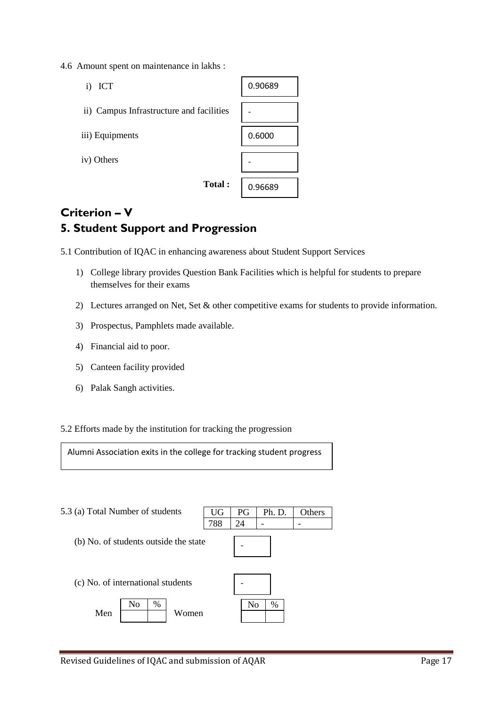4.6 Amount spent on maintenance in lakhs :



# **Criterion – V 5. Student Support and Progression**

5.1 Contribution of IQAC in enhancing awareness about Student Support Services

- 1) College library provides Question Bank Facilities which is helpful for students to prepare themselves for their exams
- 2) Lectures arranged on Net, Set & other competitive exams for students to provide information.
- 3) Prospectus, Pamphlets made available.
- 4) Financial aid to poor.
- 5) Canteen facility provided
- 6) Palak Sangh activities.

### 5.2 Efforts made by the institution for tracking the progression

Alumni Association exits in the college for tracking student progress

UG 788

- 5.3 (a) Total Number of students
	- (b) No. of students outside the state

| PG              | Ph. D. | Others |
|-----------------|--------|--------|
| $\overline{24}$ |        |        |
|                 |        |        |
|                 |        |        |
|                 |        |        |
|                 |        |        |
|                 |        |        |
|                 |        |        |

(c) No. of international students

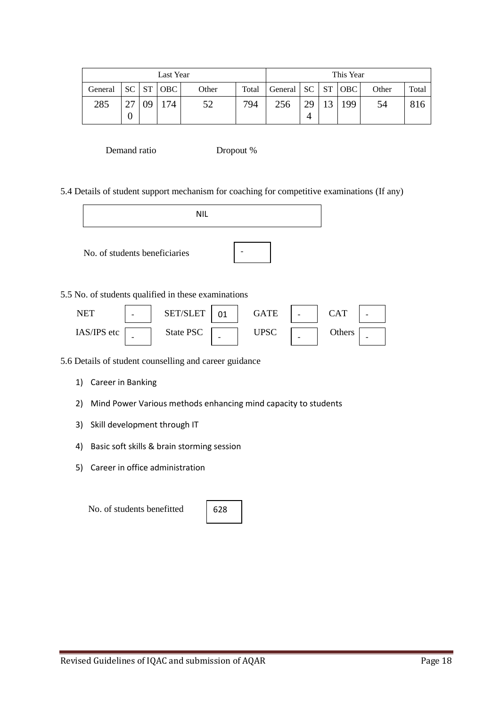| Last Year               |    |    |     |       | This Year |                                 |      |    |     |       |       |
|-------------------------|----|----|-----|-------|-----------|---------------------------------|------|----|-----|-------|-------|
| General   SC   ST   OBC |    |    |     | Other |           | Total   General   SC   ST   OBC |      |    |     | Other | Total |
| 285                     | 27 | 09 | 174 | 52    | 794       | 256                             | 29 l | 13 | 199 | 54    |       |

Demand ratio Dropout %

5.4 Details of student support mechanism for coaching for competitive examinations (If any)

| <b>NIL</b>                    |  |                                                     |    |             |  |            |  |
|-------------------------------|--|-----------------------------------------------------|----|-------------|--|------------|--|
| No. of students beneficiaries |  |                                                     |    |             |  |            |  |
|                               |  | 5.5 No. of students qualified in these examinations |    |             |  |            |  |
| <b>NET</b>                    |  | SET/SLET                                            | 01 | <b>GATE</b> |  | <b>CAT</b> |  |
| IAS/IPS etc                   |  | State PSC                                           |    | <b>UPSC</b> |  | Others     |  |

- - -

5.6 Details of student counselling and career guidance

- 1) Career in Banking
- 2) Mind Power Various methods enhancing mind capacity to students
- 3) Skill development through IT
- 4) Basic soft skills & brain storming session
- 5) Career in office administration

No. of students benefitted

| 628 |
|-----|
|-----|

-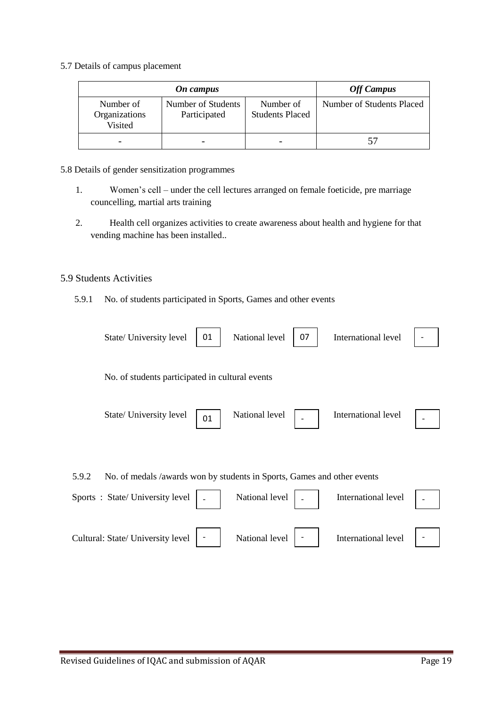5.7 Details of campus placement

|                                       | <b>Off Campus</b>                  |                                     |                           |
|---------------------------------------|------------------------------------|-------------------------------------|---------------------------|
| Number of<br>Organizations<br>Visited | Number of Students<br>Participated | Number of<br><b>Students Placed</b> | Number of Students Placed |
|                                       |                                    |                                     | 57                        |

- 5.8 Details of gender sensitization programmes
	- 1. Women's cell under the cell lectures arranged on female foeticide, pre marriage councelling, martial arts training
	- 2. Health cell organizes activities to create awareness about health and hygiene for that vending machine has been installed..

### 5.9 Students Activities

5.9.1 No. of students participated in Sports, Games and other events

| 01<br>State/ University level                                                                                      | 07<br>National level | International level |  |
|--------------------------------------------------------------------------------------------------------------------|----------------------|---------------------|--|
| No. of students participated in cultural events                                                                    |                      |                     |  |
| State/ University level<br>01                                                                                      | National level       | International level |  |
|                                                                                                                    |                      |                     |  |
| 5.9.2<br>No. of medals /awards won by students in Sports, Games and other events<br>Sports: State/University level | National level       | International level |  |
| Cultural: State/ University level                                                                                  | National level       | International level |  |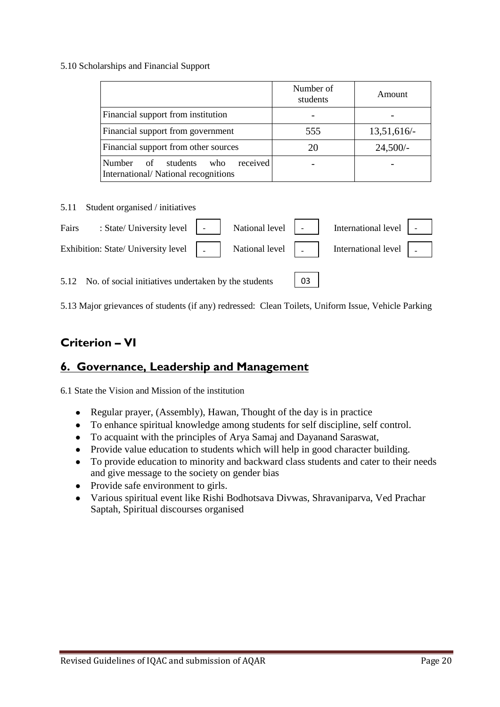### 5.10 Scholarships and Financial Support

|                                                                                 | Number of<br>students | Amount        |
|---------------------------------------------------------------------------------|-----------------------|---------------|
| Financial support from institution                                              |                       |               |
| Financial support from government                                               | 555                   | $13,51,616/-$ |
| Financial support from other sources                                            | 20                    | $24,500/-$    |
| received<br>Number of<br>students<br>who<br>International/National recognitions |                       |               |

5.11 Student organised / initiatives

| Fairs : State/University level   -   National level   -   International level   -                                                                                                                                              |  |  |  |
|--------------------------------------------------------------------------------------------------------------------------------------------------------------------------------------------------------------------------------|--|--|--|
| Exhibition: State/ University level   National level   National level   National level   National level   National level   National level   National level   National level   National level   National level   National level |  |  |  |
| 5.12 No. of social initiatives undertaken by the students   03                                                                                                                                                                 |  |  |  |

5.13 Major grievances of students (if any) redressed: Clean Toilets, Uniform Issue, Vehicle Parking

## **Criterion – VI**

## **6. Governance, Leadership and Management**

6.1 State the Vision and Mission of the institution

- Regular prayer, (Assembly), Hawan, Thought of the day is in practice  $\bullet$
- To enhance spiritual knowledge among students for self discipline, self control.
- To acquaint with the principles of Arya Samaj and Dayanand Saraswat,
- Provide value education to students which will help in good character building.
- To provide education to minority and backward class students and cater to their needs and give message to the society on gender bias
- Provide safe environment to girls.
- Various spiritual event like Rishi Bodhotsava Divwas, Shravaniparva, Ved Prachar  $\bullet$ Saptah, Spiritual discourses organised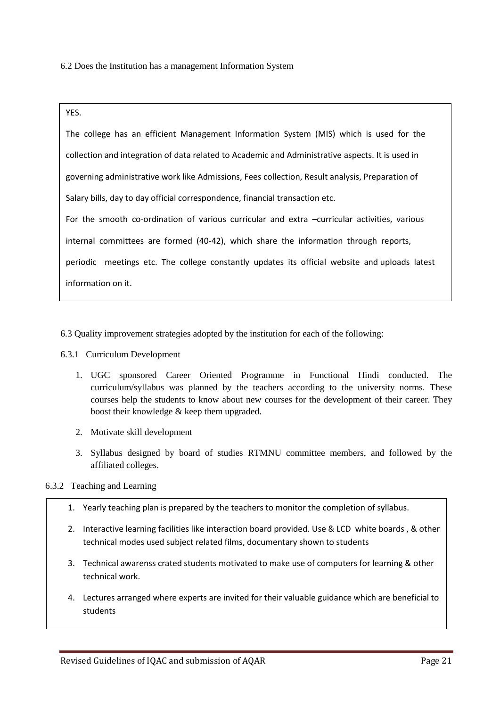6.2 Does the Institution has a management Information System

YES.

The college has an efficient Management Information System (MIS) which is used for the collection and integration of data related to Academic and Administrative aspects. It is used in governing administrative work like Admissions, Fees collection, Result analysis, Preparation of Salary bills, day to day official correspondence, financial transaction etc. For the smooth co-ordination of various curricular and extra –curricular activities, various internal committees are formed (40-42), which share the information through reports, periodic meetings etc. The college constantly updates its official website and uploads latest information on it.

6.3 Quality improvement strategies adopted by the institution for each of the following:

- 6.3.1 Curriculum Development
	- 1. UGC sponsored Career Oriented Programme in Functional Hindi conducted. The curriculum/syllabus was planned by the teachers according to the university norms. These courses help the students to know about new courses for the development of their career. They boost their knowledge & keep them upgraded.
	- 2. Motivate skill development
	- 3. Syllabus designed by board of studies RTMNU committee members, and followed by the affiliated colleges.

#### 6.3.2 Teaching and Learning

- 1. Yearly teaching plan is prepared by the teachers to monitor the completion of syllabus.
- 2. Interactive learning facilities like interaction board provided. Use & LCD white boards , & other technical modes used subject related films, documentary shown to students
- 3. Technical awarenss crated students motivated to make use of computers for learning & other technical work.
- 4. Lectures arranged where experts are invited for their valuable guidance which are beneficial to students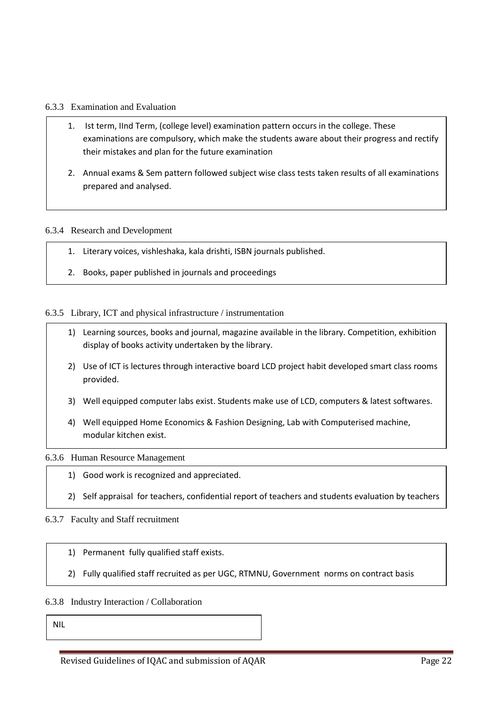#### 6.3.3 Examination and Evaluation

- 1. Ist term, IInd Term, (college level) examination pattern occurs in the college. These examinations are compulsory, which make the students aware about their progress and rectify their mistakes and plan for the future examination
- 2. Annual exams & Sem pattern followed subject wise class tests taken results of all examinations prepared and analysed.

#### 6.3.4 Research and Development

- 1. Literary voices, vishleshaka, kala drishti, ISBN journals published.
- 2. Books, paper published in journals and proceedings

#### 6.3.5 Library, ICT and physical infrastructure / instrumentation

- 1) Learning sources, books and journal, magazine available in the library. Competition, exhibition display of books activity undertaken by the library.
- 2) Use of ICT is lectures through interactive board LCD project habit developed smart class rooms provided.
- 3) Well equipped computer labs exist. Students make use of LCD, computers & latest softwares.
- 4) Well equipped Home Economics & Fashion Designing, Lab with Computerised machine, modular kitchen exist.

#### 6.3.6 Human Resource Management

- 1) Good work is recognized and appreciated.
- 2) Self appraisal for teachers, confidential report of teachers and students evaluation by teachers

#### 6.3.7 Faculty and Staff recruitment is in place.

- 1) Permanent fully qualified staff exists.
- 2) Fully qualified staff recruited as per UGC, RTMNU, Government norms on contract basis

#### 6.3.8 Industry Interaction / Collaboration

appel and the control of the control of the control of the control of the control of the control of the control of the control of the control of the control of the control of the control of the control of the control of th

NIL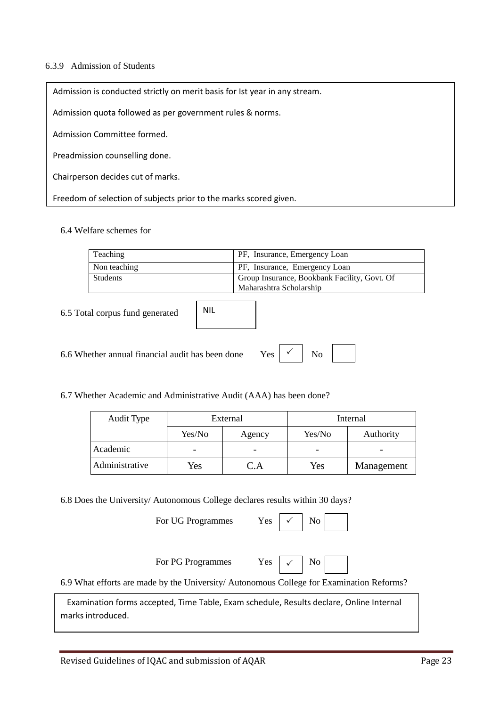#### 6.3.9 Admission of Students

Admission is conducted strictly on merit basis for Ist year in any stream.

Admission quota followed as per government rules & norms.

Admission Committee formed.

Preadmission counselling done.

Chairperson decides cut of marks.

Freedom of selection of subjects prior to the marks scored given.

### 6.4 Welfare schemes for

| Teaching                  |            | PF, Insurance, Emergency Loan                                           |  |  |
|---------------------------|------------|-------------------------------------------------------------------------|--|--|
| Non teaching              |            | PF, Insurance, Emergency Loan                                           |  |  |
| Students                  |            | Group Insurance, Bookbank Facility, Govt. Of<br>Maharashtra Scholarship |  |  |
| tal cornus fund generated | <b>NIL</b> |                                                                         |  |  |

6.5 Total corpus fund generated

| 6.6 Whether annual financial audit has been done | $Yes \mid \checkmark \mid No$ |  |
|--------------------------------------------------|-------------------------------|--|
|--------------------------------------------------|-------------------------------|--|

| 6.7 Whether Academic and Administrative Audit (AAA) has been done? |  |  |
|--------------------------------------------------------------------|--|--|

| Audit Type     | External |          | Internal |            |
|----------------|----------|----------|----------|------------|
|                | Yes/No   | Agency   | Yes/No   | Authority  |
| Academic       |          |          |          |            |
| Administrative | Yes      | $\Delta$ | Yes      | Management |

Yes

6.8 Does the University/ Autonomous College declares results within 30 days?

|  |  | For UG Programmes |
|--|--|-------------------|
|--|--|-------------------|

|--|--|

For PG Programmes Yes  $\vert \sqrt{\vert}$  No  $\vert$ 

| ÷<br>v.<br>۰. |  |  |
|---------------|--|--|
|---------------|--|--|

 $\checkmark$ 

6.9 What efforts are made by the University/ Autonomous College for Examination Reforms?

 Examination forms accepted, Time Table, Exam schedule, Results declare, Online Internal marks introduced.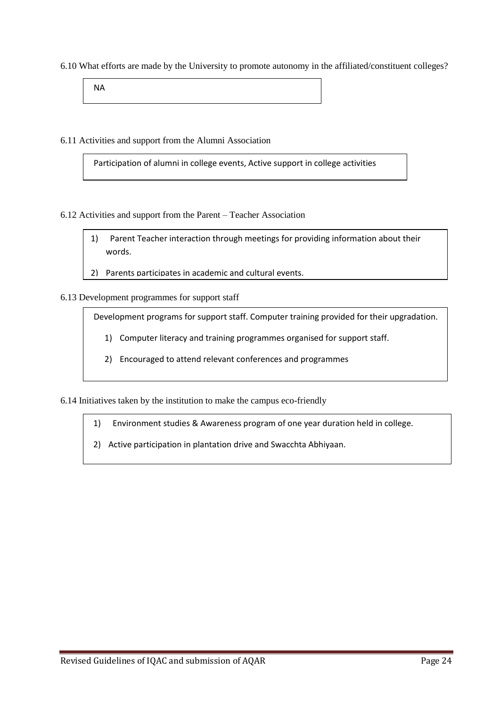6.10 What efforts are made by the University to promote autonomy in the affiliated/constituent colleges?

NA

6.11 Activities and support from the Alumni Association

Participation of alumni in college events, Active support in college activities

6.12 Activities and support from the Parent – Teacher Association

- 1) Parent Teacher interaction through meetings for providing information about their words.
- 2) Parents participates in academic and cultural events.

6.13 Development programmes for support staff

Development programs for support staff. Computer training provided for their upgradation.

- 1) Computer literacy and training programmes organised for support staff.
- 2) Encouraged to attend relevant conferences and programmes

6.14 Initiatives taken by the institution to make the campus eco-friendly

- 1) Environment studies & Awareness program of one year duration held in college.
- 2) Active participation in plantation drive and Swacchta Abhiyaan.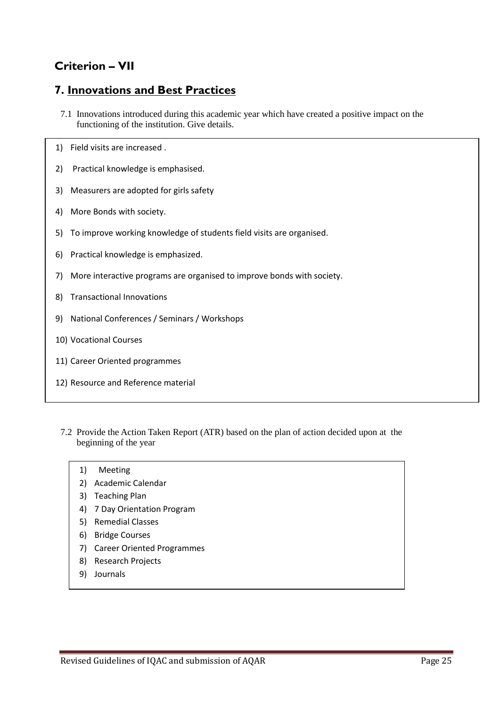# **Criterion – VII**

## **7. Innovations and Best Practices**

- 7.1 Innovations introduced during this academic year which have created a positive impact on the functioning of the institution. Give details.
- 1) Field visits are increased .
- 2) Practical knowledge is emphasised.
- 3) Measurers are adopted for girls safety
- 4) More Bonds with society.
- 5) To improve working knowledge of students field visits are organised.
- 6) Practical knowledge is emphasized.
- 7) More interactive programs are organised to improve bonds with society.
- 8) Transactional Innovations
- 9) National Conferences / Seminars / Workshops
- 10) Vocational Courses

13) Guest le communes de la communes de la communes de la communes de la communes de la communes de la commune<br>13) Guest le communes de la communes de la communes de la communes de la communes de la communes de la commune

- 11) Career Oriented programmes
- 12) Resource and Reference material
- 7.2 Provide the Action Taken Report (ATR) based on the plan of action decided upon at the beginning of the year
	- 1) Meeting
	- 2) Academic Calendar
	- 3) Teaching Plan
	- 4) 7 Day Orientation Program
	- 5) Remedial Classes
	- 6) Bridge Courses
	- 7) Career Oriented Programmes
	- 8) Research Projects
	- 9) Journals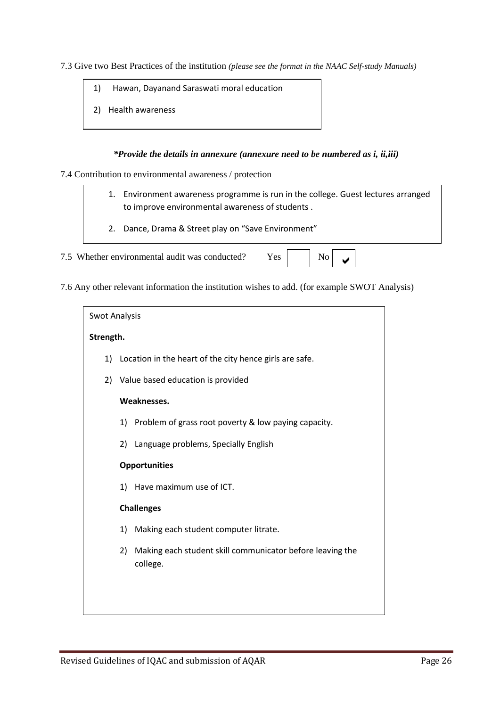7.3 Give two Best Practices of the institution *(please see the format in the NAAC Self-study Manuals)*

- 1) Hawan, Dayanand Saraswati moral education
- 2) Health awareness

#### *\*Provide the details in annexure (annexure need to be numbered as i, ii,iii)*

#### 7.4 Contribution to environmental awareness / protection

- 1. Environment awareness programme is run in the college. Guest lectures arranged to improve environmental awareness of students .
- 2. Dance, Drama & Street play on "Save Environment"

7.5 Whether environmental audit was conducted? Yes  $\begin{bmatrix} \end{bmatrix}$ 

7.6 Any other relevant information the institution wishes to add. (for example SWOT Analysis)

| <b>Swot Analysis</b> |    |                                                                       |
|----------------------|----|-----------------------------------------------------------------------|
| Strength.            |    |                                                                       |
|                      |    | 1) Location in the heart of the city hence girls are safe.            |
| 2)                   |    | Value based education is provided                                     |
|                      |    | Weaknesses.                                                           |
|                      | 1) | Problem of grass root poverty & low paying capacity.                  |
|                      | 2) | Language problems, Specially English                                  |
|                      |    | <b>Opportunities</b>                                                  |
|                      | 1) | Have maximum use of ICT.                                              |
|                      |    | <b>Challenges</b>                                                     |
|                      | 1) | Making each student computer litrate.                                 |
|                      | 2) | Making each student skill communicator before leaving the<br>college. |
|                      |    |                                                                       |
|                      |    |                                                                       |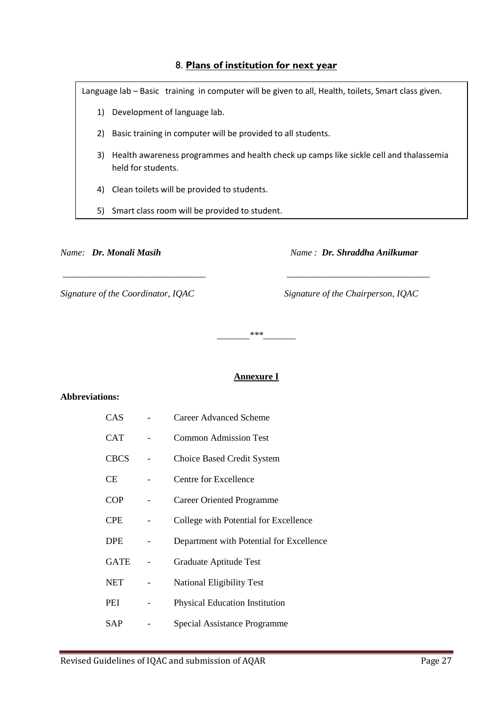### 8. **Plans of institution for next year**

Language lab – Basic training in computer will be given to all, Health, toilets, Smart class given. 1) Development of language lab. 2) Basic training in computer will be provided to all students. 3) Health awareness programmes and health check up camps like sickle cell and thalassemia held for students. 4) Clean toilets will be provided to students.

5) Smart class room will be provided to student.

*Name: Dr. Monali Masih Name : Dr. Shraddha Anilkumar*

*Signature of the Coordinator, IQAC Signature of the Chairperson, IQAC*

*\_\_\_\_\_\_\_\*\*\*\_\_\_\_\_\_\_*

*\_\_\_\_\_\_\_\_\_\_\_\_\_\_\_\_\_\_\_\_\_\_\_\_\_\_\_\_\_\_\_ \_\_\_\_\_\_\_\_\_\_\_\_\_\_\_\_\_\_\_\_\_\_\_\_\_\_\_\_\_\_\_* 

### **Annexure I**

#### **Abbreviations:**

| CAS         | <b>Career Advanced Scheme</b>            |
|-------------|------------------------------------------|
| CAT         | <b>Common Admission Test</b>             |
| <b>CBCS</b> | Choice Based Credit System               |
| CЕ          | Centre for Excellence                    |
| <b>COP</b>  | Career Oriented Programme                |
| CPE         | College with Potential for Excellence    |
| <b>DPE</b>  | Department with Potential for Excellence |
| GATE        | Graduate Aptitude Test                   |
| NET         | <b>National Eligibility Test</b>         |
| PEI         | <b>Physical Education Institution</b>    |
| SAP         | Special Assistance Programme             |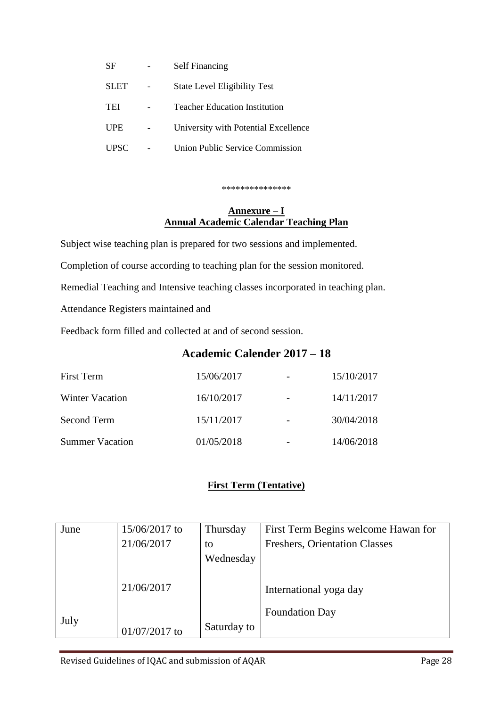| SF          | <b>Self Financing</b>                |
|-------------|--------------------------------------|
| <b>SLET</b> | <b>State Level Eligibility Test</b>  |
| TEI         | <b>Teacher Education Institution</b> |
| UPE         | University with Potential Excellence |
| UPSC        | Union Public Service Commission      |

\*\*\*\*\*\*\*\*\*\*\*\*\*\*\*

## **Annexure – I Annual Academic Calendar Teaching Plan**

Subject wise teaching plan is prepared for two sessions and implemented.

Completion of course according to teaching plan for the session monitored.

Remedial Teaching and Intensive teaching classes incorporated in teaching plan.

Attendance Registers maintained and

Feedback form filled and collected at and of second session.

## **Academic Calender 2017 – 18**

| First Term             | 15/06/2017 | 15/10/2017 |
|------------------------|------------|------------|
| <b>Winter Vacation</b> | 16/10/2017 | 14/11/2017 |
| Second Term            | 15/11/2017 | 30/04/2018 |
| <b>Summer Vacation</b> | 01/05/2018 | 14/06/2018 |

## **First Term (Tentative)**

| June | 15/06/2017 to | Thursday    | First Term Begins welcome Hawan for  |
|------|---------------|-------------|--------------------------------------|
|      | 21/06/2017    | to          | <b>Freshers, Orientation Classes</b> |
|      |               | Wednesday   |                                      |
|      |               |             |                                      |
|      | 21/06/2017    |             | International yoga day               |
|      |               |             | <b>Foundation Day</b>                |
| July |               |             |                                      |
|      | 01/07/2017 to | Saturday to |                                      |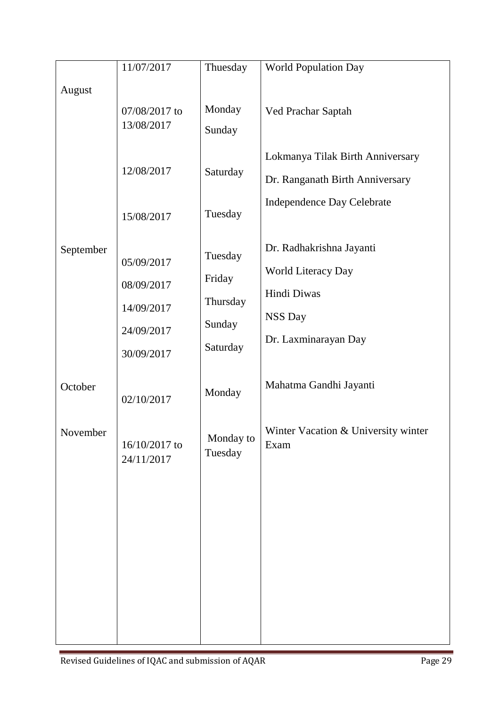|           | 11/07/2017                                                         | Thuesday                                            | <b>World Population Day</b>                                                                              |
|-----------|--------------------------------------------------------------------|-----------------------------------------------------|----------------------------------------------------------------------------------------------------------|
| August    |                                                                    |                                                     |                                                                                                          |
|           | 07/08/2017 to                                                      | Monday                                              | Ved Prachar Saptah                                                                                       |
|           | 13/08/2017                                                         | Sunday                                              |                                                                                                          |
|           | 12/08/2017<br>15/08/2017                                           | Saturday<br>Tuesday                                 | Lokmanya Tilak Birth Anniversary<br>Dr. Ranganath Birth Anniversary<br><b>Independence Day Celebrate</b> |
| September | 05/09/2017<br>08/09/2017<br>14/09/2017<br>24/09/2017<br>30/09/2017 | Tuesday<br>Friday<br>Thursday<br>Sunday<br>Saturday | Dr. Radhakrishna Jayanti<br>World Literacy Day<br>Hindi Diwas<br><b>NSS Day</b><br>Dr. Laxminarayan Day  |
| October   | 02/10/2017                                                         | Monday                                              | Mahatma Gandhi Jayanti                                                                                   |
| November  | 16/10/2017 to<br>24/11/2017                                        | Monday to<br>Tuesday                                | Winter Vacation & University winter<br>Exam                                                              |
|           |                                                                    |                                                     |                                                                                                          |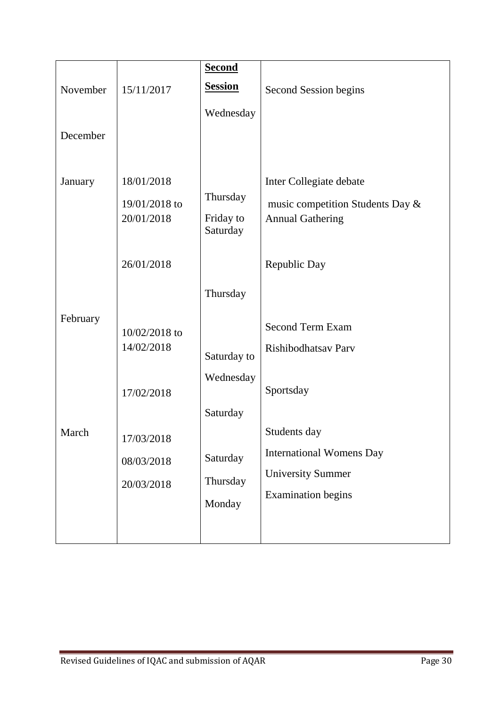|          |                             | <b>Second</b>         |                                  |
|----------|-----------------------------|-----------------------|----------------------------------|
| November | 15/11/2017                  | <b>Session</b>        | Second Session begins            |
|          |                             | Wednesday             |                                  |
| December |                             |                       |                                  |
|          |                             |                       |                                  |
| January  | 18/01/2018                  |                       | Inter Collegiate debate          |
|          | 19/01/2018 to               | Thursday              | music competition Students Day & |
|          | 20/01/2018                  | Friday to<br>Saturday | <b>Annual Gathering</b>          |
|          | 26/01/2018                  |                       | Republic Day                     |
|          |                             | Thursday              |                                  |
| February |                             |                       | <b>Second Term Exam</b>          |
|          | 10/02/2018 to<br>14/02/2018 |                       | Rishibodhatsav Parv              |
|          |                             | Saturday to           |                                  |
|          |                             | Wednesday             |                                  |
|          | 17/02/2018                  |                       | Sportsday                        |
|          |                             | Saturday              |                                  |
| March    | 17/03/2018                  |                       | Students day                     |
|          | 08/03/2018                  | Saturday              | <b>International Womens Day</b>  |
|          | 20/03/2018                  | Thursday              | <b>University Summer</b>         |
|          |                             | Monday                | <b>Examination</b> begins        |
|          |                             |                       |                                  |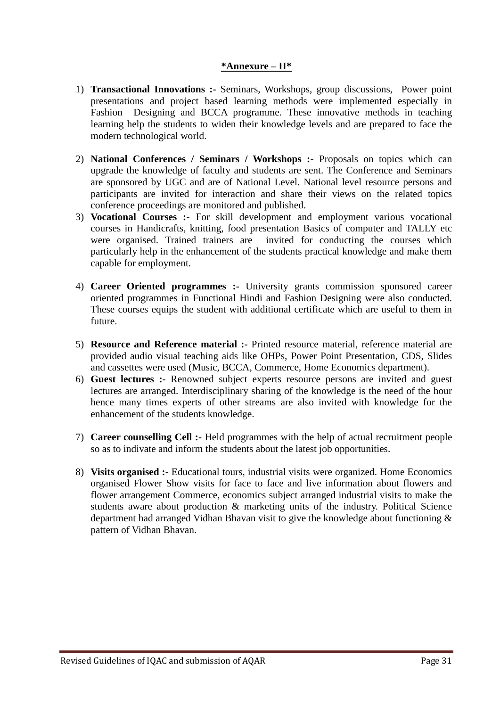### **\*Annexure – II\***

- 1) **Transactional Innovations :-** Seminars, Workshops, group discussions, Power point presentations and project based learning methods were implemented especially in Fashion Designing and BCCA programme. These innovative methods in teaching learning help the students to widen their knowledge levels and are prepared to face the modern technological world.
- 2) **National Conferences / Seminars / Workshops :-** Proposals on topics which can upgrade the knowledge of faculty and students are sent. The Conference and Seminars are sponsored by UGC and are of National Level. National level resource persons and participants are invited for interaction and share their views on the related topics conference proceedings are monitored and published.
- 3) **Vocational Courses :-** For skill development and employment various vocational courses in Handicrafts, knitting, food presentation Basics of computer and TALLY etc were organised. Trained trainers are invited for conducting the courses which particularly help in the enhancement of the students practical knowledge and make them capable for employment.
- 4) **Career Oriented programmes :-** University grants commission sponsored career oriented programmes in Functional Hindi and Fashion Designing were also conducted. These courses equips the student with additional certificate which are useful to them in future.
- 5) **Resource and Reference material :-** Printed resource material, reference material are provided audio visual teaching aids like OHPs, Power Point Presentation, CDS, Slides and cassettes were used (Music, BCCA, Commerce, Home Economics department).
- 6) **Guest lectures :-** Renowned subject experts resource persons are invited and guest lectures are arranged. Interdisciplinary sharing of the knowledge is the need of the hour hence many times experts of other streams are also invited with knowledge for the enhancement of the students knowledge.
- 7) **Career counselling Cell :-** Held programmes with the help of actual recruitment people so as to indivate and inform the students about the latest job opportunities.
- 8) **Visits organised :-** Educational tours, industrial visits were organized. Home Economics organised Flower Show visits for face to face and live information about flowers and flower arrangement Commerce, economics subject arranged industrial visits to make the students aware about production & marketing units of the industry. Political Science department had arranged Vidhan Bhavan visit to give the knowledge about functioning & pattern of Vidhan Bhavan.